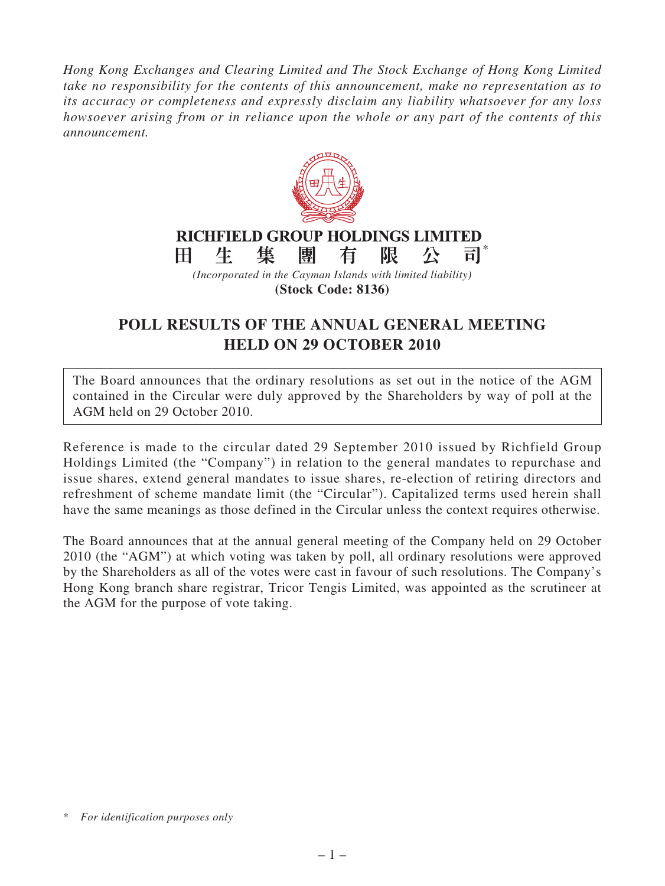*Hong Kong Exchanges and Clearing Limited and The Stock Exchange of Hong Kong Limited take no responsibility for the contents of this announcement, make no representation as to its accuracy or completeness and expressly disclaim any liability whatsoever for any loss howsoever arising from or in reliance upon the whole or any part of the contents of this announcement.*



**(Stock Code: 8136)**

## **POLL RESULTS OF THE ANNUAL GENERAL MEETING HELD ON 29 OCTOBER 2010**

The Board announces that the ordinary resolutions as set out in the notice of the AGM contained in the Circular were duly approved by the Shareholders by way of poll at the AGM held on 29 October 2010.

Reference is made to the circular dated 29 September 2010 issued by Richfield Group Holdings Limited (the "Company") in relation to the general mandates to repurchase and issue shares, extend general mandates to issue shares, re-election of retiring directors and refreshment of scheme mandate limit (the "Circular"). Capitalized terms used herein shall have the same meanings as those defined in the Circular unless the context requires otherwise.

The Board announces that at the annual general meeting of the Company held on 29 October 2010 (the "AGM") at which voting was taken by poll, all ordinary resolutions were approved by the Shareholders as all of the votes were cast in favour of such resolutions. The Company's Hong Kong branch share registrar, Tricor Tengis Limited, was appointed as the scrutineer at the AGM for the purpose of vote taking.

<sup>\*</sup> *For identification purposes only*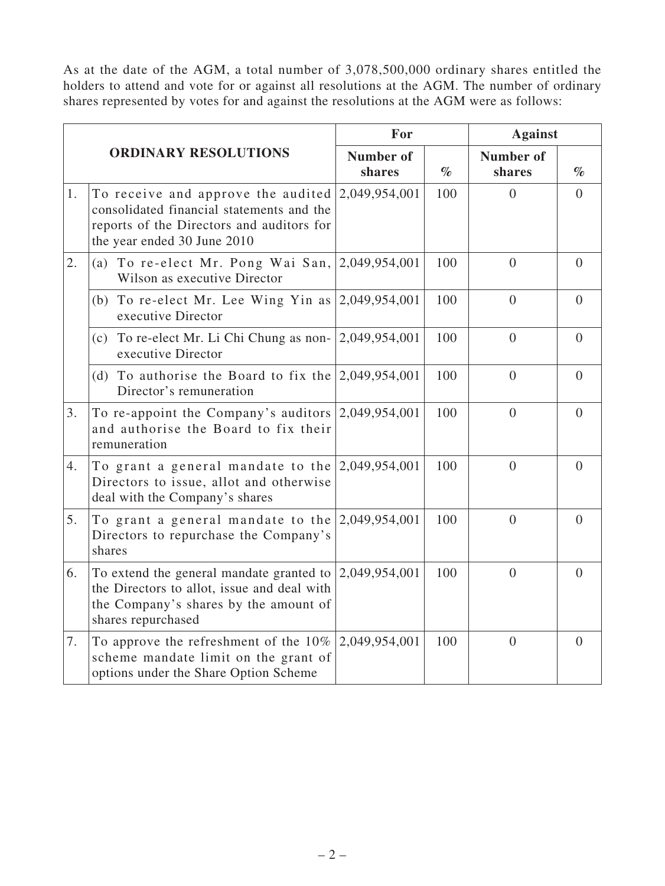As at the date of the AGM, a total number of 3,078,500,000 ordinary shares entitled the holders to attend and vote for or against all resolutions at the AGM. The number of ordinary shares represented by votes for and against the resolutions at the AGM were as follows:

| <b>ORDINARY RESOLUTIONS</b> |                                                                                                                                                             | For                        |      | <b>Against</b>             |                |
|-----------------------------|-------------------------------------------------------------------------------------------------------------------------------------------------------------|----------------------------|------|----------------------------|----------------|
|                             |                                                                                                                                                             | <b>Number of</b><br>shares | $\%$ | <b>Number of</b><br>shares | $\%$           |
| 1.                          | To receive and approve the audited<br>consolidated financial statements and the<br>reports of the Directors and auditors for<br>the year ended 30 June 2010 | 2,049,954,001              | 100  | $\overline{0}$             | $\overline{0}$ |
| 2.                          | (a) To re-elect Mr. Pong Wai San,<br>Wilson as executive Director                                                                                           | 2,049,954,001              | 100  | $\overline{0}$             | $\overline{0}$ |
|                             | (b) To re-elect Mr. Lee Wing Yin as<br>executive Director                                                                                                   | 2,049,954,001              | 100  | $\overline{0}$             | $\theta$       |
|                             | (c) To re-elect Mr. Li Chi Chung as non-<br>executive Director                                                                                              | 2,049,954,001              | 100  | $\overline{0}$             | $\overline{0}$ |
|                             | (d) To authorise the Board to fix the $ 2,049,954,001$<br>Director's remuneration                                                                           |                            | 100  | $\overline{0}$             | $\theta$       |
| 3.                          | To re-appoint the Company's auditors<br>and authorise the Board to fix their<br>remuneration                                                                | 2,049,954,001              | 100  | $\overline{0}$             | $\overline{0}$ |
| 4.                          | To grant a general mandate to the<br>Directors to issue, allot and otherwise<br>deal with the Company's shares                                              | 2,049,954,001              | 100  | $\theta$                   | $\theta$       |
| 5.                          | To grant a general mandate to the<br>Directors to repurchase the Company's<br>shares                                                                        | 2,049,954,001              | 100  | $\overline{0}$             | $\overline{0}$ |
| 6.                          | To extend the general mandate granted to<br>the Directors to allot, issue and deal with<br>the Company's shares by the amount of<br>shares repurchased      | 2,049,954,001              | 100  | $\overline{0}$             | $\overline{0}$ |
| 7.                          | To approve the refreshment of the 10%<br>scheme mandate limit on the grant of<br>options under the Share Option Scheme                                      | 2,049,954,001              | 100  | $\overline{0}$             | $\overline{0}$ |